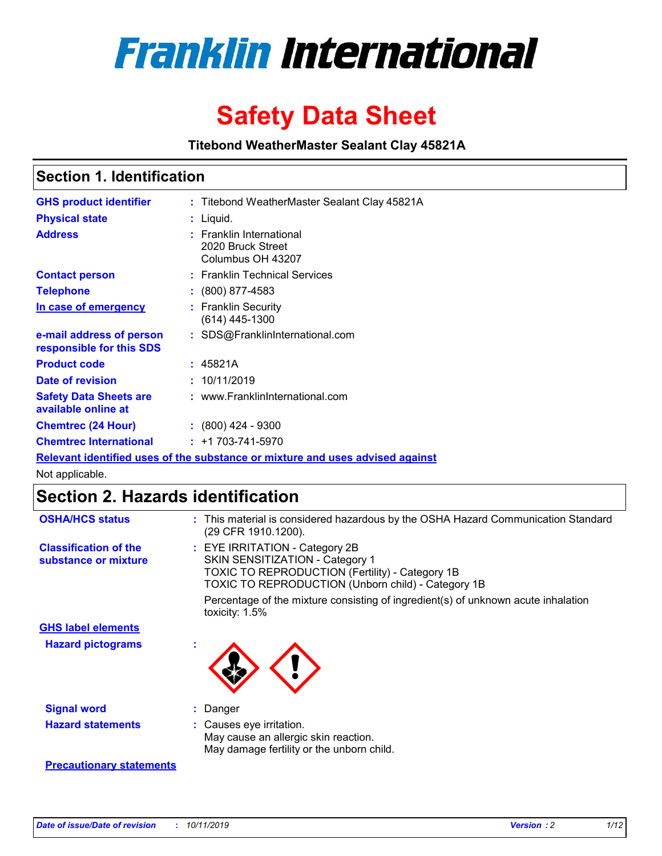

# **Safety Data Sheet**

**Titebond WeatherMaster Sealant Clay 45821A**

### **Section 1. Identification**

| <b>GHS product identifier</b>                        | : Titebond WeatherMaster Sealant Clay 45821A                                  |
|------------------------------------------------------|-------------------------------------------------------------------------------|
| <b>Physical state</b>                                | : Liquid.                                                                     |
| <b>Address</b>                                       | : Franklin International<br>2020 Bruck Street<br>Columbus OH 43207            |
| <b>Contact person</b>                                | : Franklin Technical Services                                                 |
| <b>Telephone</b>                                     | $\colon$ (800) 877-4583                                                       |
| In case of emergency                                 | : Franklin Security<br>(614) 445-1300                                         |
| e-mail address of person<br>responsible for this SDS | : SDS@FranklinInternational.com                                               |
| <b>Product code</b>                                  | : 45821A                                                                      |
| Date of revision                                     | : 10/11/2019                                                                  |
| <b>Safety Data Sheets are</b><br>available online at | : www.FranklinInternational.com                                               |
| <b>Chemtrec (24 Hour)</b>                            | $: (800)$ 424 - 9300                                                          |
| <b>Chemtrec International</b>                        | $: +1703 - 741 - 5970$                                                        |
|                                                      | Relevant identified uses of the substance or mixture and uses advised against |

Not applicable.

## **Section 2. Hazards identification**

| <b>OSHA/HCS status</b>                               | : This material is considered hazardous by the OSHA Hazard Communication Standard<br>(29 CFR 1910.1200).                                                                          |
|------------------------------------------------------|-----------------------------------------------------------------------------------------------------------------------------------------------------------------------------------|
| <b>Classification of the</b><br>substance or mixture | : EYE IRRITATION - Category 2B<br>SKIN SENSITIZATION - Category 1<br><b>TOXIC TO REPRODUCTION (Fertility) - Category 1B</b><br>TOXIC TO REPRODUCTION (Unborn child) - Category 1B |
|                                                      | Percentage of the mixture consisting of ingredient(s) of unknown acute inhalation<br>toxicity: $1.5\%$                                                                            |
| <b>GHS label elements</b>                            |                                                                                                                                                                                   |
| <b>Hazard pictograms</b>                             |                                                                                                                                                                                   |
| <b>Signal word</b>                                   | : Danger                                                                                                                                                                          |
| <b>Hazard statements</b>                             | : Causes eye irritation.<br>May cause an allergic skin reaction.<br>May damage fertility or the unborn child.                                                                     |
| <b>Precautionary statements</b>                      |                                                                                                                                                                                   |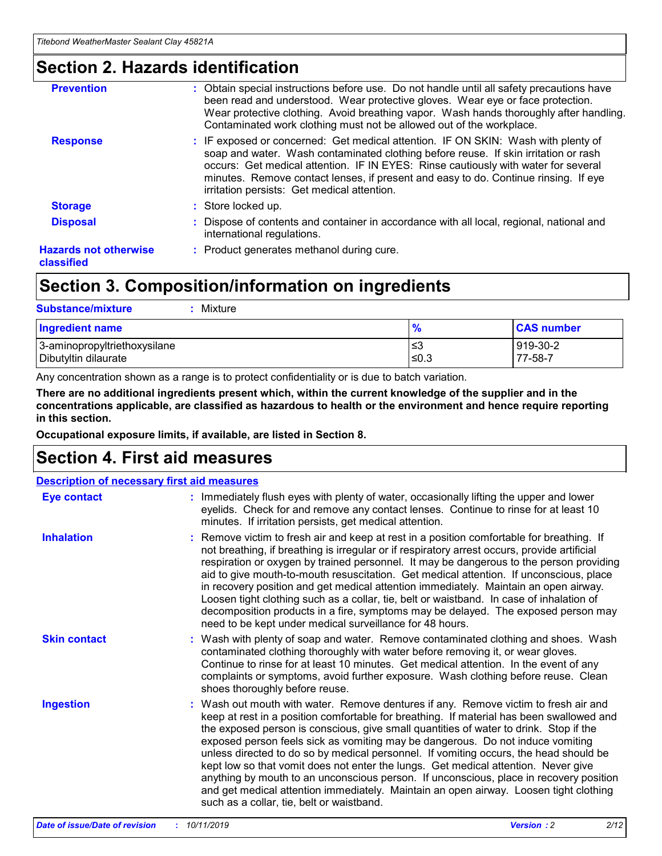### **Section 2. Hazards identification**

| <b>Prevention</b>                          | : Obtain special instructions before use. Do not handle until all safety precautions have<br>been read and understood. Wear protective gloves. Wear eye or face protection.<br>Wear protective clothing. Avoid breathing vapor. Wash hands thoroughly after handling.<br>Contaminated work clothing must not be allowed out of the workplace.                                                        |
|--------------------------------------------|------------------------------------------------------------------------------------------------------------------------------------------------------------------------------------------------------------------------------------------------------------------------------------------------------------------------------------------------------------------------------------------------------|
| <b>Response</b>                            | : IF exposed or concerned: Get medical attention. IF ON SKIN: Wash with plenty of<br>soap and water. Wash contaminated clothing before reuse. If skin irritation or rash<br>occurs: Get medical attention. IF IN EYES: Rinse cautiously with water for several<br>minutes. Remove contact lenses, if present and easy to do. Continue rinsing. If eye<br>irritation persists: Get medical attention. |
| <b>Storage</b>                             | : Store locked up.                                                                                                                                                                                                                                                                                                                                                                                   |
| <b>Disposal</b>                            | : Dispose of contents and container in accordance with all local, regional, national and<br>international regulations.                                                                                                                                                                                                                                                                               |
| <b>Hazards not otherwise</b><br>classified | : Product generates methanol during cure.                                                                                                                                                                                                                                                                                                                                                            |
|                                            |                                                                                                                                                                                                                                                                                                                                                                                                      |

### **Section 3. Composition/information on ingredients**

| <b>Substance/mixture</b><br>: Mixture                |               |                     |
|------------------------------------------------------|---------------|---------------------|
| Ingredient name                                      | $\frac{9}{6}$ | <b>CAS number</b>   |
| 3-aminopropyltriethoxysilane<br>Dibutyltin dilaurate | צ≥<br>≤0.3    | 919-30-2<br>77-58-7 |

Any concentration shown as a range is to protect confidentiality or is due to batch variation.

**There are no additional ingredients present which, within the current knowledge of the supplier and in the concentrations applicable, are classified as hazardous to health or the environment and hence require reporting in this section.**

**Occupational exposure limits, if available, are listed in Section 8.**

### **Section 4. First aid measures**

| <b>Description of necessary first aid measures</b> |                                                                                                                                                                                                                                                                                                                                                                                                                                                                                                                                                                                                                                                                                                                                                                           |  |  |  |
|----------------------------------------------------|---------------------------------------------------------------------------------------------------------------------------------------------------------------------------------------------------------------------------------------------------------------------------------------------------------------------------------------------------------------------------------------------------------------------------------------------------------------------------------------------------------------------------------------------------------------------------------------------------------------------------------------------------------------------------------------------------------------------------------------------------------------------------|--|--|--|
| <b>Eye contact</b>                                 | : Immediately flush eyes with plenty of water, occasionally lifting the upper and lower<br>eyelids. Check for and remove any contact lenses. Continue to rinse for at least 10<br>minutes. If irritation persists, get medical attention.                                                                                                                                                                                                                                                                                                                                                                                                                                                                                                                                 |  |  |  |
| <b>Inhalation</b>                                  | : Remove victim to fresh air and keep at rest in a position comfortable for breathing. If<br>not breathing, if breathing is irregular or if respiratory arrest occurs, provide artificial<br>respiration or oxygen by trained personnel. It may be dangerous to the person providing<br>aid to give mouth-to-mouth resuscitation. Get medical attention. If unconscious, place<br>in recovery position and get medical attention immediately. Maintain an open airway.<br>Loosen tight clothing such as a collar, tie, belt or waistband. In case of inhalation of<br>decomposition products in a fire, symptoms may be delayed. The exposed person may<br>need to be kept under medical surveillance for 48 hours.                                                       |  |  |  |
| <b>Skin contact</b>                                | : Wash with plenty of soap and water. Remove contaminated clothing and shoes. Wash<br>contaminated clothing thoroughly with water before removing it, or wear gloves.<br>Continue to rinse for at least 10 minutes. Get medical attention. In the event of any<br>complaints or symptoms, avoid further exposure. Wash clothing before reuse. Clean<br>shoes thoroughly before reuse.                                                                                                                                                                                                                                                                                                                                                                                     |  |  |  |
| <b>Ingestion</b>                                   | : Wash out mouth with water. Remove dentures if any. Remove victim to fresh air and<br>keep at rest in a position comfortable for breathing. If material has been swallowed and<br>the exposed person is conscious, give small quantities of water to drink. Stop if the<br>exposed person feels sick as vomiting may be dangerous. Do not induce vomiting<br>unless directed to do so by medical personnel. If vomiting occurs, the head should be<br>kept low so that vomit does not enter the lungs. Get medical attention. Never give<br>anything by mouth to an unconscious person. If unconscious, place in recovery position<br>and get medical attention immediately. Maintain an open airway. Loosen tight clothing<br>such as a collar, tie, belt or waistband. |  |  |  |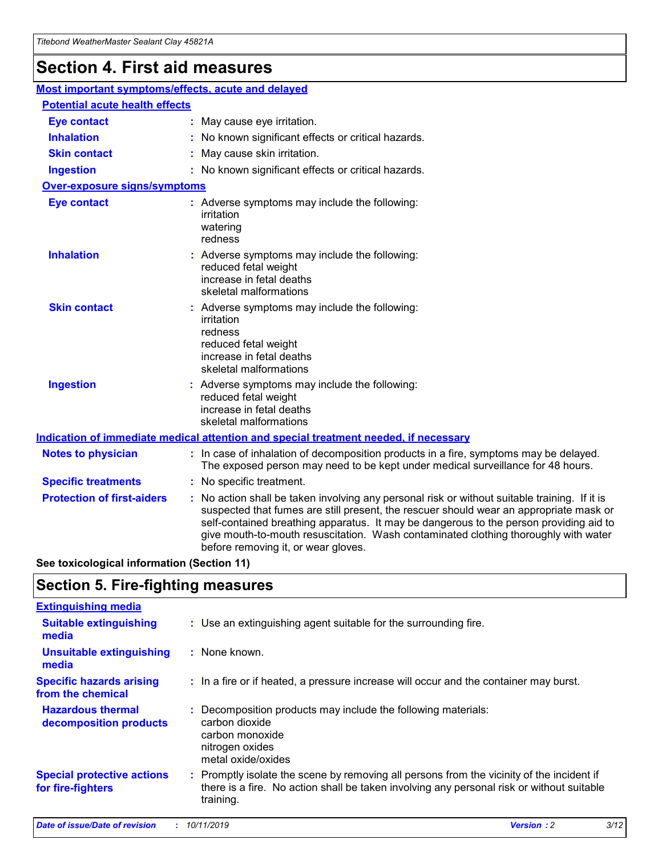## **Section 4. First aid measures**

| Most important symptoms/effects, acute and delayed |                                       |                                                                                                                                                                                                                                                                                                                                                                                                                 |  |  |  |
|----------------------------------------------------|---------------------------------------|-----------------------------------------------------------------------------------------------------------------------------------------------------------------------------------------------------------------------------------------------------------------------------------------------------------------------------------------------------------------------------------------------------------------|--|--|--|
|                                                    | <b>Potential acute health effects</b> |                                                                                                                                                                                                                                                                                                                                                                                                                 |  |  |  |
| <b>Eye contact</b>                                 |                                       | : May cause eye irritation.                                                                                                                                                                                                                                                                                                                                                                                     |  |  |  |
| <b>Inhalation</b>                                  |                                       | : No known significant effects or critical hazards.                                                                                                                                                                                                                                                                                                                                                             |  |  |  |
| <b>Skin contact</b>                                |                                       | : May cause skin irritation.                                                                                                                                                                                                                                                                                                                                                                                    |  |  |  |
| <b>Ingestion</b>                                   |                                       | : No known significant effects or critical hazards.                                                                                                                                                                                                                                                                                                                                                             |  |  |  |
| Over-exposure signs/symptoms                       |                                       |                                                                                                                                                                                                                                                                                                                                                                                                                 |  |  |  |
| <b>Eye contact</b>                                 |                                       | : Adverse symptoms may include the following:<br>irritation<br>watering<br>redness                                                                                                                                                                                                                                                                                                                              |  |  |  |
| <b>Inhalation</b>                                  |                                       | : Adverse symptoms may include the following:<br>reduced fetal weight<br>increase in fetal deaths<br>skeletal malformations                                                                                                                                                                                                                                                                                     |  |  |  |
| <b>Skin contact</b>                                |                                       | : Adverse symptoms may include the following:<br>irritation<br>redness<br>reduced fetal weight<br>increase in fetal deaths<br>skeletal malformations                                                                                                                                                                                                                                                            |  |  |  |
| <b>Ingestion</b>                                   |                                       | : Adverse symptoms may include the following:<br>reduced fetal weight<br>increase in fetal deaths<br>skeletal malformations                                                                                                                                                                                                                                                                                     |  |  |  |
|                                                    |                                       | <b>Indication of immediate medical attention and special treatment needed, if necessary</b>                                                                                                                                                                                                                                                                                                                     |  |  |  |
| <b>Notes to physician</b>                          |                                       | : In case of inhalation of decomposition products in a fire, symptoms may be delayed.<br>The exposed person may need to be kept under medical surveillance for 48 hours.                                                                                                                                                                                                                                        |  |  |  |
| <b>Specific treatments</b>                         |                                       | : No specific treatment.                                                                                                                                                                                                                                                                                                                                                                                        |  |  |  |
| <b>Protection of first-aiders</b>                  |                                       | : No action shall be taken involving any personal risk or without suitable training. If it is<br>suspected that fumes are still present, the rescuer should wear an appropriate mask or<br>self-contained breathing apparatus. It may be dangerous to the person providing aid to<br>give mouth-to-mouth resuscitation. Wash contaminated clothing thoroughly with water<br>before removing it, or wear gloves. |  |  |  |

**See toxicological information (Section 11)**

### **Section 5. Fire-fighting measures**

| <b>Extinguishing media</b>                             |                                                                                                                                                                                                     |
|--------------------------------------------------------|-----------------------------------------------------------------------------------------------------------------------------------------------------------------------------------------------------|
| <b>Suitable extinguishing</b><br>media                 | : Use an extinguishing agent suitable for the surrounding fire.                                                                                                                                     |
| <b>Unsuitable extinguishing</b><br>media               | : None known.                                                                                                                                                                                       |
| <b>Specific hazards arising</b><br>from the chemical   | : In a fire or if heated, a pressure increase will occur and the container may burst.                                                                                                               |
| <b>Hazardous thermal</b><br>decomposition products     | : Decomposition products may include the following materials:<br>carbon dioxide<br>carbon monoxide<br>nitrogen oxides<br>metal oxide/oxides                                                         |
| <b>Special protective actions</b><br>for fire-fighters | : Promptly isolate the scene by removing all persons from the vicinity of the incident if<br>there is a fire. No action shall be taken involving any personal risk or without suitable<br>training. |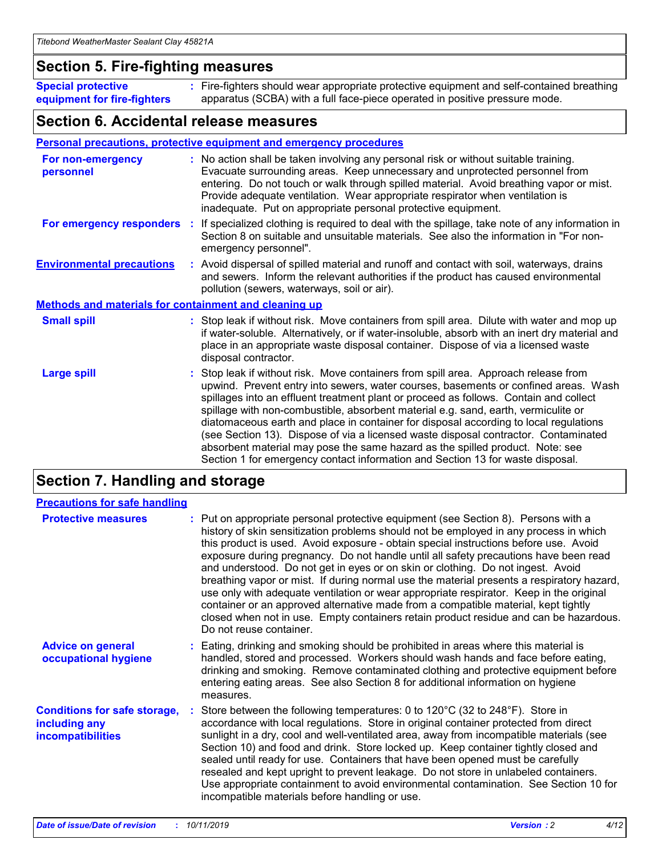### **Section 5. Fire-fighting measures**

**Special protective equipment for fire-fighters** Fire-fighters should wear appropriate protective equipment and self-contained breathing **:** apparatus (SCBA) with a full face-piece operated in positive pressure mode.

### **Section 6. Accidental release measures**

#### **Personal precautions, protective equipment and emergency procedures**

| For non-emergency<br>personnel                               | : No action shall be taken involving any personal risk or without suitable training.<br>Evacuate surrounding areas. Keep unnecessary and unprotected personnel from<br>entering. Do not touch or walk through spilled material. Avoid breathing vapor or mist.<br>Provide adequate ventilation. Wear appropriate respirator when ventilation is<br>inadequate. Put on appropriate personal protective equipment.                                                                                                                                                                                                                                                                                             |
|--------------------------------------------------------------|--------------------------------------------------------------------------------------------------------------------------------------------------------------------------------------------------------------------------------------------------------------------------------------------------------------------------------------------------------------------------------------------------------------------------------------------------------------------------------------------------------------------------------------------------------------------------------------------------------------------------------------------------------------------------------------------------------------|
|                                                              | For emergency responders : If specialized clothing is required to deal with the spillage, take note of any information in<br>Section 8 on suitable and unsuitable materials. See also the information in "For non-<br>emergency personnel".                                                                                                                                                                                                                                                                                                                                                                                                                                                                  |
| <b>Environmental precautions</b>                             | : Avoid dispersal of spilled material and runoff and contact with soil, waterways, drains<br>and sewers. Inform the relevant authorities if the product has caused environmental<br>pollution (sewers, waterways, soil or air).                                                                                                                                                                                                                                                                                                                                                                                                                                                                              |
| <b>Methods and materials for containment and cleaning up</b> |                                                                                                                                                                                                                                                                                                                                                                                                                                                                                                                                                                                                                                                                                                              |
| <b>Small spill</b>                                           | : Stop leak if without risk. Move containers from spill area. Dilute with water and mop up<br>if water-soluble. Alternatively, or if water-insoluble, absorb with an inert dry material and<br>place in an appropriate waste disposal container. Dispose of via a licensed waste<br>disposal contractor.                                                                                                                                                                                                                                                                                                                                                                                                     |
| <b>Large spill</b>                                           | : Stop leak if without risk. Move containers from spill area. Approach release from<br>upwind. Prevent entry into sewers, water courses, basements or confined areas. Wash<br>spillages into an effluent treatment plant or proceed as follows. Contain and collect<br>spillage with non-combustible, absorbent material e.g. sand, earth, vermiculite or<br>diatomaceous earth and place in container for disposal according to local regulations<br>(see Section 13). Dispose of via a licensed waste disposal contractor. Contaminated<br>absorbent material may pose the same hazard as the spilled product. Note: see<br>Section 1 for emergency contact information and Section 13 for waste disposal. |

### **Section 7. Handling and storage**

| <b>Precautions for safe handling</b>                                             |                                                                                                                                                                                                                                                                                                                                                                                                                                                                                                                                                                                                                                                                                                                                                                                                                                                  |
|----------------------------------------------------------------------------------|--------------------------------------------------------------------------------------------------------------------------------------------------------------------------------------------------------------------------------------------------------------------------------------------------------------------------------------------------------------------------------------------------------------------------------------------------------------------------------------------------------------------------------------------------------------------------------------------------------------------------------------------------------------------------------------------------------------------------------------------------------------------------------------------------------------------------------------------------|
| <b>Protective measures</b>                                                       | : Put on appropriate personal protective equipment (see Section 8). Persons with a<br>history of skin sensitization problems should not be employed in any process in which<br>this product is used. Avoid exposure - obtain special instructions before use. Avoid<br>exposure during pregnancy. Do not handle until all safety precautions have been read<br>and understood. Do not get in eyes or on skin or clothing. Do not ingest. Avoid<br>breathing vapor or mist. If during normal use the material presents a respiratory hazard,<br>use only with adequate ventilation or wear appropriate respirator. Keep in the original<br>container or an approved alternative made from a compatible material, kept tightly<br>closed when not in use. Empty containers retain product residue and can be hazardous.<br>Do not reuse container. |
| <b>Advice on general</b><br>occupational hygiene                                 | : Eating, drinking and smoking should be prohibited in areas where this material is<br>handled, stored and processed. Workers should wash hands and face before eating,<br>drinking and smoking. Remove contaminated clothing and protective equipment before<br>entering eating areas. See also Section 8 for additional information on hygiene<br>measures.                                                                                                                                                                                                                                                                                                                                                                                                                                                                                    |
| <b>Conditions for safe storage,</b><br>including any<br><b>incompatibilities</b> | Store between the following temperatures: 0 to 120 $^{\circ}$ C (32 to 248 $^{\circ}$ F). Store in<br>accordance with local regulations. Store in original container protected from direct<br>sunlight in a dry, cool and well-ventilated area, away from incompatible materials (see<br>Section 10) and food and drink. Store locked up. Keep container tightly closed and<br>sealed until ready for use. Containers that have been opened must be carefully<br>resealed and kept upright to prevent leakage. Do not store in unlabeled containers.<br>Use appropriate containment to avoid environmental contamination. See Section 10 for<br>incompatible materials before handling or use.                                                                                                                                                   |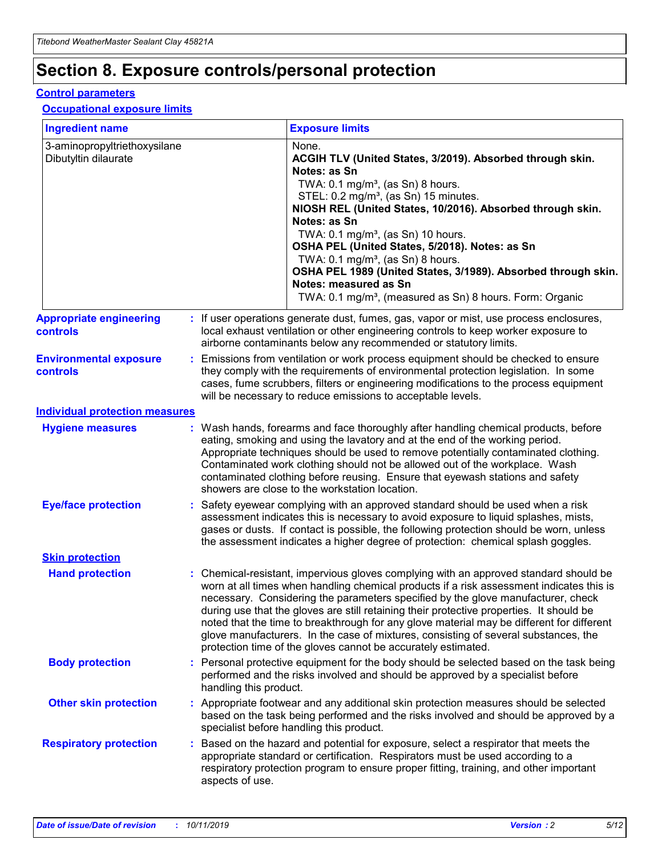## **Section 8. Exposure controls/personal protection**

#### **Control parameters**

#### **Occupational exposure limits**

| <b>Ingredient name</b>                               |    |                        | <b>Exposure limits</b>                                                                                                                                                                                                                                                                                                                                                                                                                                                                                                                                                                                                 |
|------------------------------------------------------|----|------------------------|------------------------------------------------------------------------------------------------------------------------------------------------------------------------------------------------------------------------------------------------------------------------------------------------------------------------------------------------------------------------------------------------------------------------------------------------------------------------------------------------------------------------------------------------------------------------------------------------------------------------|
| 3-aminopropyltriethoxysilane<br>Dibutyltin dilaurate |    |                        | None.<br>ACGIH TLV (United States, 3/2019). Absorbed through skin.<br>Notes: as Sn<br>TWA: $0.1 \text{ mg/m}^3$ , (as Sn) 8 hours.<br>STEL: 0.2 mg/m <sup>3</sup> , (as Sn) 15 minutes.<br>NIOSH REL (United States, 10/2016). Absorbed through skin.<br>Notes: as Sn<br>TWA: 0.1 mg/m <sup>3</sup> , (as Sn) 10 hours.<br>OSHA PEL (United States, 5/2018). Notes: as Sn<br>TWA: 0.1 mg/m <sup>3</sup> , (as Sn) 8 hours.<br>OSHA PEL 1989 (United States, 3/1989). Absorbed through skin.<br>Notes: measured as Sn<br>TWA: 0.1 mg/m <sup>3</sup> , (measured as Sn) 8 hours. Form: Organic                           |
| <b>Appropriate engineering</b><br>controls           |    |                        | : If user operations generate dust, fumes, gas, vapor or mist, use process enclosures,<br>local exhaust ventilation or other engineering controls to keep worker exposure to<br>airborne contaminants below any recommended or statutory limits.                                                                                                                                                                                                                                                                                                                                                                       |
| <b>Environmental exposure</b><br>controls            |    |                        | Emissions from ventilation or work process equipment should be checked to ensure<br>they comply with the requirements of environmental protection legislation. In some<br>cases, fume scrubbers, filters or engineering modifications to the process equipment<br>will be necessary to reduce emissions to acceptable levels.                                                                                                                                                                                                                                                                                          |
| <b>Individual protection measures</b>                |    |                        |                                                                                                                                                                                                                                                                                                                                                                                                                                                                                                                                                                                                                        |
| <b>Hygiene measures</b>                              |    |                        | : Wash hands, forearms and face thoroughly after handling chemical products, before<br>eating, smoking and using the lavatory and at the end of the working period.<br>Appropriate techniques should be used to remove potentially contaminated clothing.<br>Contaminated work clothing should not be allowed out of the workplace. Wash<br>contaminated clothing before reusing. Ensure that eyewash stations and safety<br>showers are close to the workstation location.                                                                                                                                            |
| <b>Eye/face protection</b>                           |    |                        | Safety eyewear complying with an approved standard should be used when a risk<br>assessment indicates this is necessary to avoid exposure to liquid splashes, mists,<br>gases or dusts. If contact is possible, the following protection should be worn, unless<br>the assessment indicates a higher degree of protection: chemical splash goggles.                                                                                                                                                                                                                                                                    |
| <b>Skin protection</b>                               |    |                        |                                                                                                                                                                                                                                                                                                                                                                                                                                                                                                                                                                                                                        |
| <b>Hand protection</b>                               |    |                        | : Chemical-resistant, impervious gloves complying with an approved standard should be<br>worn at all times when handling chemical products if a risk assessment indicates this is<br>necessary. Considering the parameters specified by the glove manufacturer, check<br>during use that the gloves are still retaining their protective properties. It should be<br>noted that the time to breakthrough for any glove material may be different for different<br>glove manufacturers. In the case of mixtures, consisting of several substances, the<br>protection time of the gloves cannot be accurately estimated. |
| <b>Body protection</b>                               |    | handling this product. | Personal protective equipment for the body should be selected based on the task being<br>performed and the risks involved and should be approved by a specialist before                                                                                                                                                                                                                                                                                                                                                                                                                                                |
| <b>Other skin protection</b>                         |    |                        | : Appropriate footwear and any additional skin protection measures should be selected<br>based on the task being performed and the risks involved and should be approved by a<br>specialist before handling this product.                                                                                                                                                                                                                                                                                                                                                                                              |
| <b>Respiratory protection</b>                        | ÷. | aspects of use.        | Based on the hazard and potential for exposure, select a respirator that meets the<br>appropriate standard or certification. Respirators must be used according to a<br>respiratory protection program to ensure proper fitting, training, and other important                                                                                                                                                                                                                                                                                                                                                         |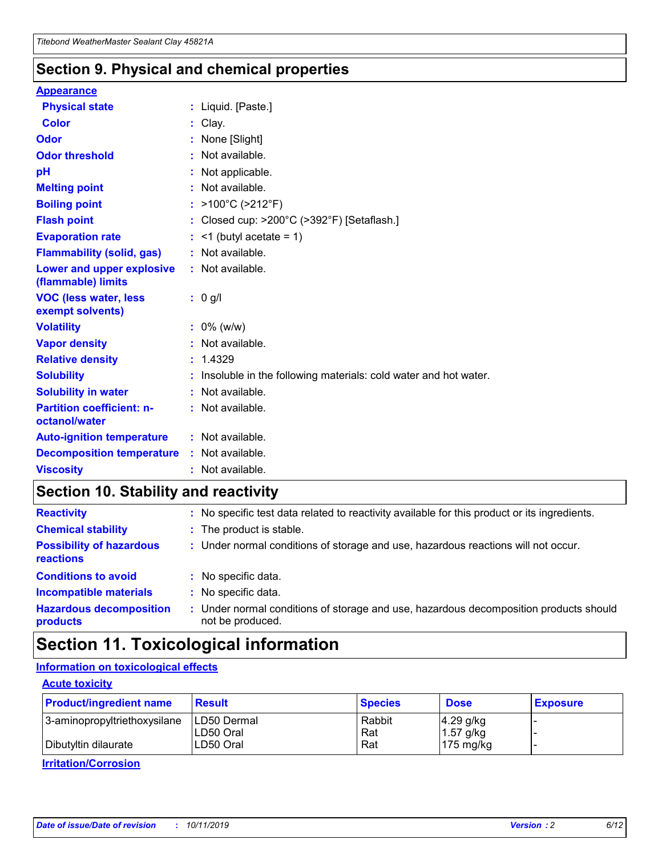### **Section 9. Physical and chemical properties**

#### **Appearance**

| <b>Physical state</b>                             | : Liquid. [Paste.]                                              |
|---------------------------------------------------|-----------------------------------------------------------------|
| Color                                             | Clay.                                                           |
| Odor                                              | : None [Slight]                                                 |
| <b>Odor threshold</b>                             | : Not available.                                                |
| рH                                                | : Not applicable.                                               |
| <b>Melting point</b>                              | : Not available.                                                |
| <b>Boiling point</b>                              | : >100°C (>212°F)                                               |
| <b>Flash point</b>                                | : Closed cup: >200°C (>392°F) [Setaflash.]                      |
| <b>Evaporation rate</b>                           | $:$ <1 (butyl acetate = 1)                                      |
| <b>Flammability (solid, gas)</b>                  | : Not available.                                                |
| Lower and upper explosive<br>(flammable) limits   | : Not available.                                                |
| <b>VOC (less water, less</b><br>exempt solvents)  | : 0 g/l                                                         |
| <b>Volatility</b>                                 | $: 0\%$ (w/w)                                                   |
| <b>Vapor density</b>                              | : Not available.                                                |
| <b>Relative density</b>                           | : 1.4329                                                        |
| <b>Solubility</b>                                 | Insoluble in the following materials: cold water and hot water. |
| <b>Solubility in water</b>                        | : Not available.                                                |
| <b>Partition coefficient: n-</b><br>octanol/water | $:$ Not available.                                              |
| <b>Auto-ignition temperature</b>                  | : Not available.                                                |
| <b>Decomposition temperature</b>                  | : Not available.                                                |
| <b>Viscosity</b>                                  |                                                                 |

### **Section 10. Stability and reactivity**

| <b>Reactivity</b>                            |    | : No specific test data related to reactivity available for this product or its ingredients.            |
|----------------------------------------------|----|---------------------------------------------------------------------------------------------------------|
| <b>Chemical stability</b>                    |    | : The product is stable.                                                                                |
| <b>Possibility of hazardous</b><br>reactions |    | : Under normal conditions of storage and use, hazardous reactions will not occur.                       |
| <b>Conditions to avoid</b>                   |    | : No specific data.                                                                                     |
| <b>Incompatible materials</b>                | ٠. | No specific data.                                                                                       |
| <b>Hazardous decomposition</b><br>products   | ÷. | Under normal conditions of storage and use, hazardous decomposition products should<br>not be produced. |

### **Section 11. Toxicological information**

### **Information on toxicological effects**

#### **Acute toxicity**

| <b>Product/ingredient name</b> | <b>Result</b>           | <b>Species</b> | <b>Dose</b>                | <b>Exposure</b> |
|--------------------------------|-------------------------|----------------|----------------------------|-----------------|
| 3-aminopropyltriethoxysilane   | <b>ILD50 Dermal</b>     | Rabbit         | 4.29 g/kg                  |                 |
| Dibutyltin dilaurate           | ILD50 Oral<br>LD50 Oral | Rat<br>Rat     | $1.57$ g/kg<br>175 $mg/kg$ |                 |
|                                |                         |                |                            |                 |

**Irritation/Corrosion**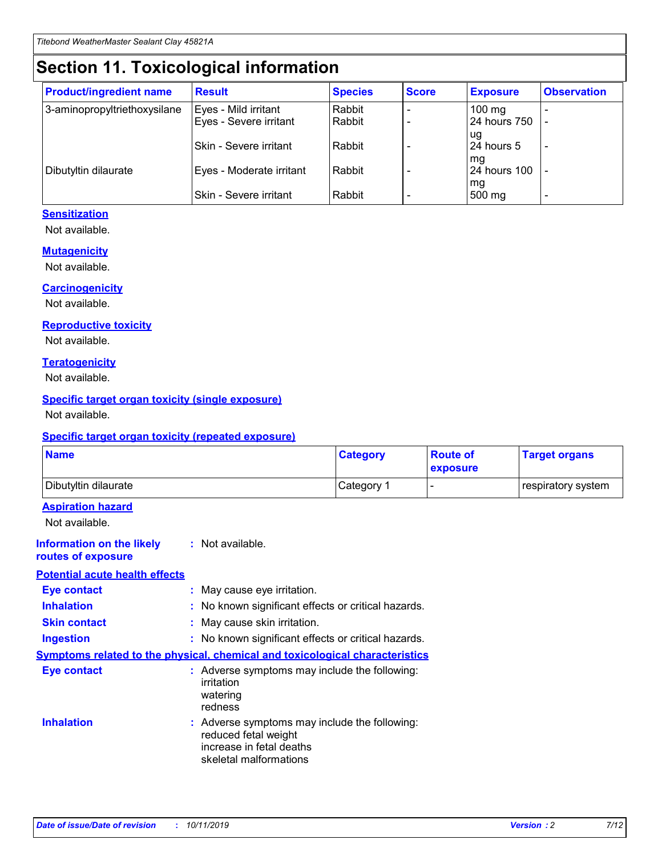## **Section 11. Toxicological information**

| <b>Product/ingredient name</b> | <b>Result</b>            | <b>Species</b> | <b>Score</b> | <b>Exposure</b>           | <b>Observation</b> |
|--------------------------------|--------------------------|----------------|--------------|---------------------------|--------------------|
| 3-aminopropyltriethoxysilane   | Eyes - Mild irritant     | Rabbit         |              | $100 \text{ mg}$          |                    |
|                                | Eyes - Severe irritant   | Rabbit         |              | 24 hours 750              |                    |
|                                |                          |                |              | ug                        |                    |
|                                | Skin - Severe irritant   | Rabbit         |              | 24 hours 5                | -                  |
| Dibutyltin dilaurate           | Eyes - Moderate irritant | Rabbit         |              | mq<br><b>24 hours 100</b> |                    |
|                                |                          |                |              | mg                        |                    |
|                                | Skin - Severe irritant   | Rabbit         |              | 500 mg                    | -                  |

#### **Sensitization**

Not available.

#### **Mutagenicity**

Not available.

#### **Carcinogenicity**

Not available.

#### **Reproductive toxicity**

Not available.

#### **Teratogenicity**

Not available.

#### **Specific target organ toxicity (single exposure)**

Not available.

#### **Specific target organ toxicity (repeated exposure)**

| <b>Name</b>                                                                  |                                                                                                                             | <b>Category</b> | <b>Route of</b><br>exposure | <b>Target organs</b> |
|------------------------------------------------------------------------------|-----------------------------------------------------------------------------------------------------------------------------|-----------------|-----------------------------|----------------------|
| Dibutyltin dilaurate                                                         |                                                                                                                             | Category 1      |                             | respiratory system   |
| <b>Aspiration hazard</b><br>Not available.                                   |                                                                                                                             |                 |                             |                      |
| <b>Information on the likely</b><br>routes of exposure                       | : Not available.                                                                                                            |                 |                             |                      |
| <b>Potential acute health effects</b>                                        |                                                                                                                             |                 |                             |                      |
| <b>Eye contact</b>                                                           | : May cause eye irritation.                                                                                                 |                 |                             |                      |
| <b>Inhalation</b>                                                            | : No known significant effects or critical hazards.                                                                         |                 |                             |                      |
| <b>Skin contact</b>                                                          | : May cause skin irritation.                                                                                                |                 |                             |                      |
| <b>Ingestion</b>                                                             | : No known significant effects or critical hazards.                                                                         |                 |                             |                      |
| Symptoms related to the physical, chemical and toxicological characteristics |                                                                                                                             |                 |                             |                      |
| <b>Eye contact</b>                                                           | : Adverse symptoms may include the following:<br>irritation<br>watering<br>redness                                          |                 |                             |                      |
| <b>Inhalation</b>                                                            | : Adverse symptoms may include the following:<br>reduced fetal weight<br>increase in fetal deaths<br>skeletal malformations |                 |                             |                      |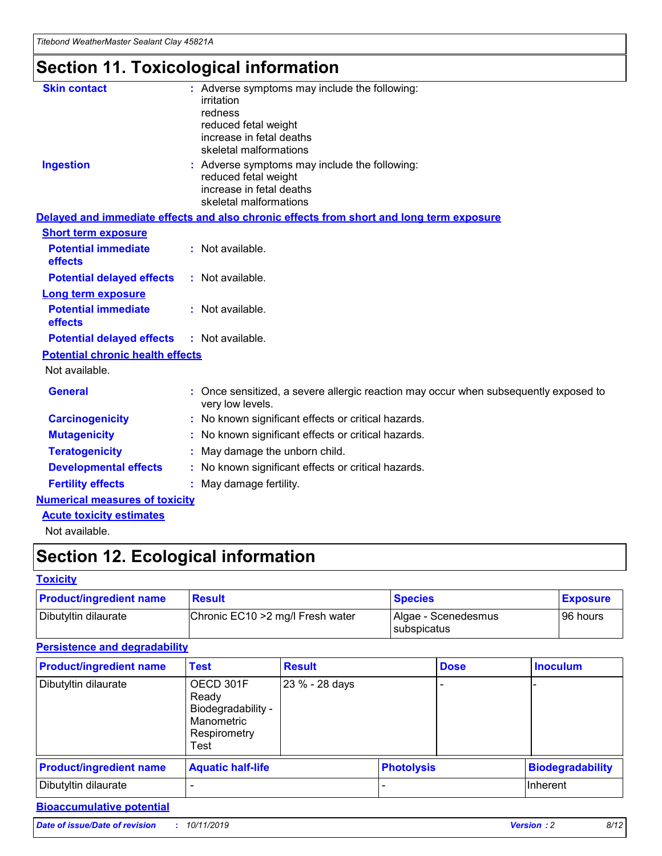## **Section 11. Toxicological information**

| <b>Skin contact</b>                     | : Adverse symptoms may include the following:<br>irritation<br>redness<br>reduced fetal weight<br>increase in fetal deaths<br>skeletal malformations |
|-----------------------------------------|------------------------------------------------------------------------------------------------------------------------------------------------------|
| <b>Ingestion</b>                        | : Adverse symptoms may include the following:<br>reduced fetal weight<br>increase in fetal deaths<br>skeletal malformations                          |
|                                         | Delayed and immediate effects and also chronic effects from short and long term exposure                                                             |
| <b>Short term exposure</b>              |                                                                                                                                                      |
| <b>Potential immediate</b><br>effects   | : Not available.                                                                                                                                     |
| <b>Potential delayed effects</b>        | : Not available.                                                                                                                                     |
| <b>Long term exposure</b>               |                                                                                                                                                      |
| <b>Potential immediate</b><br>effects   | : Not available.                                                                                                                                     |
| <b>Potential delayed effects</b>        | : Not available.                                                                                                                                     |
| <b>Potential chronic health effects</b> |                                                                                                                                                      |
| Not available.                          |                                                                                                                                                      |
| <b>General</b>                          | : Once sensitized, a severe allergic reaction may occur when subsequently exposed to<br>very low levels.                                             |
| <b>Carcinogenicity</b>                  | : No known significant effects or critical hazards.                                                                                                  |
| <b>Mutagenicity</b>                     | No known significant effects or critical hazards.                                                                                                    |
| <b>Teratogenicity</b>                   | May damage the unborn child.                                                                                                                         |
| <b>Developmental effects</b>            | No known significant effects or critical hazards.                                                                                                    |
| <b>Fertility effects</b>                | : May damage fertility.                                                                                                                              |
| <b>Numerical measures of toxicity</b>   |                                                                                                                                                      |
| <b>Acute toxicity estimates</b>         |                                                                                                                                                      |
|                                         |                                                                                                                                                      |

Not available.

## **Section 12. Ecological information**

#### **Toxicity**

| <b>Product/ingredient name</b> | <b>Result</b>                     | <b>Species</b>                       | <b>Exposure</b> |
|--------------------------------|-----------------------------------|--------------------------------------|-----------------|
| Dibutyltin dilaurate           | Chronic EC10 > 2 mg/l Fresh water | Algae - Scenedesmus<br>I subspicatus | l 96 hours      |

#### **Persistence and degradability**

| <b>Product/ingredient name</b> | Test                                                                           | <b>Result</b>  |                   | <b>Dose</b> | <b>Inoculum</b>         |
|--------------------------------|--------------------------------------------------------------------------------|----------------|-------------------|-------------|-------------------------|
| Dibutyltin dilaurate           | OECD 301F<br>Ready<br>Biodegradability -<br>Manometric<br>Respirometry<br>Test | 23 % - 28 days |                   |             |                         |
| <b>Product/ingredient name</b> | <b>Aquatic half-life</b>                                                       |                | <b>Photolysis</b> |             | <b>Biodegradability</b> |
| Dibutyltin dilaurate           |                                                                                |                |                   |             | Inherent                |

### **Bioaccumulative potential**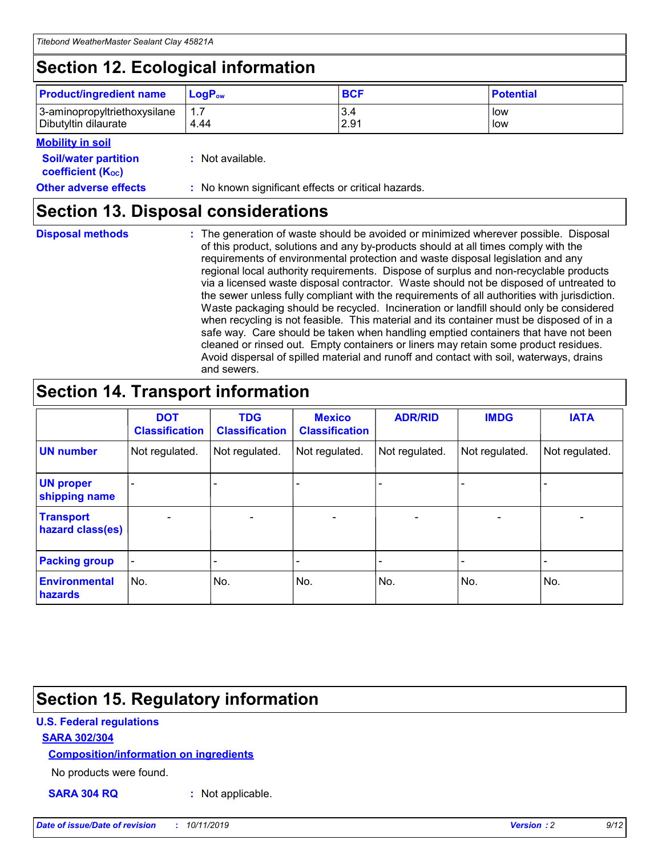## **Section 12. Ecological information**

| <b>Product/ingredient name</b>                       | ∣LoqP <sub>ow</sub> | <b>BCF</b>  | <b>Potential</b> |
|------------------------------------------------------|---------------------|-------------|------------------|
| 3-aminopropyltriethoxysilane<br>Dibutyltin dilaurate | 4.44                | 3.4<br>2.91 | low<br>low       |

#### **Mobility in soil**

| <i></i>                                                       |                                                     |
|---------------------------------------------------------------|-----------------------------------------------------|
| <b>Soil/water partition</b><br>coefficient (K <sub>oc</sub> ) | : Not available.                                    |
| <b>Other adverse effects</b>                                  | : No known significant effects or critical hazards. |

### **Section 13. Disposal considerations**

**Disposal methods :**

The generation of waste should be avoided or minimized wherever possible. Disposal of this product, solutions and any by-products should at all times comply with the requirements of environmental protection and waste disposal legislation and any regional local authority requirements. Dispose of surplus and non-recyclable products via a licensed waste disposal contractor. Waste should not be disposed of untreated to the sewer unless fully compliant with the requirements of all authorities with jurisdiction. Waste packaging should be recycled. Incineration or landfill should only be considered when recycling is not feasible. This material and its container must be disposed of in a safe way. Care should be taken when handling emptied containers that have not been cleaned or rinsed out. Empty containers or liners may retain some product residues. Avoid dispersal of spilled material and runoff and contact with soil, waterways, drains and sewers.

## **Section 14. Transport information**

|                                      | <b>DOT</b><br><b>Classification</b> | <b>TDG</b><br><b>Classification</b> | <b>Mexico</b><br><b>Classification</b> | <b>ADR/RID</b>           | <b>IMDG</b>              | <b>IATA</b>              |
|--------------------------------------|-------------------------------------|-------------------------------------|----------------------------------------|--------------------------|--------------------------|--------------------------|
| <b>UN number</b>                     | Not regulated.                      | Not regulated.                      | Not regulated.                         | Not regulated.           | Not regulated.           | Not regulated.           |
| <b>UN proper</b><br>shipping name    | $\qquad \qquad \blacksquare$        |                                     |                                        |                          |                          |                          |
| <b>Transport</b><br>hazard class(es) | $\blacksquare$                      | $\blacksquare$                      | $\blacksquare$                         | $\overline{\phantom{a}}$ | $\blacksquare$           | $\blacksquare$           |
| <b>Packing group</b>                 | $\overline{\phantom{a}}$            | $\overline{\phantom{0}}$            | $\overline{\phantom{0}}$               | -                        | $\overline{\phantom{0}}$ | $\overline{\phantom{a}}$ |
| <b>Environmental</b><br>hazards      | No.                                 | No.                                 | No.                                    | No.                      | No.                      | No.                      |

## **Section 15. Regulatory information**

#### **U.S. Federal regulations**

#### **SARA 302/304**

#### **Composition/information on ingredients**

No products were found.

**SARA 304 RQ :** Not applicable.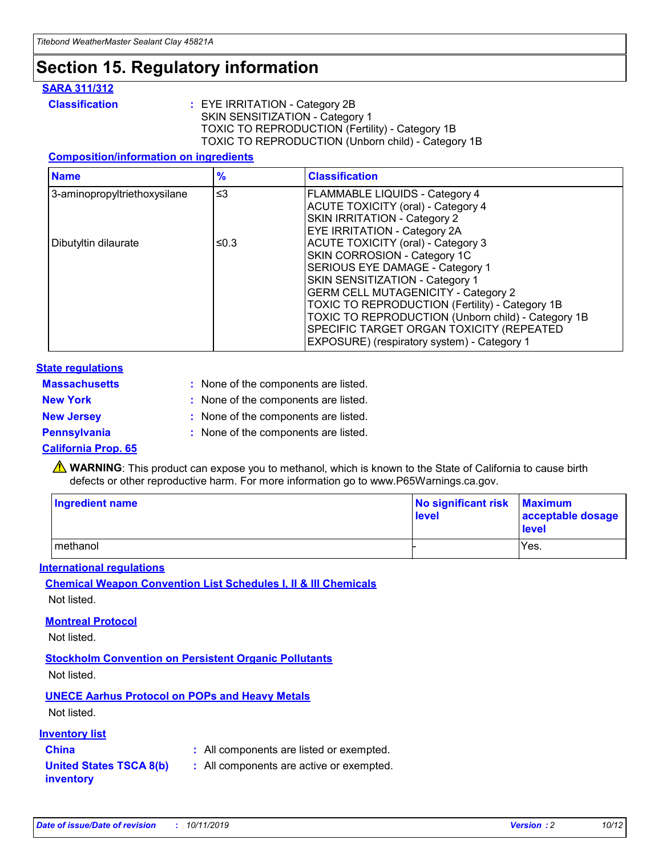### **Section 15. Regulatory information**

#### **SARA 311/312**

**Classification :** EYE IRRITATION - Category 2B SKIN SENSITIZATION - Category 1 TOXIC TO REPRODUCTION (Fertility) - Category 1B TOXIC TO REPRODUCTION (Unborn child) - Category 1B

#### **Composition/information on ingredients**

| <b>Name</b>                  | $\%$     | <b>Classification</b>                              |
|------------------------------|----------|----------------------------------------------------|
| 3-aminopropyltriethoxysilane | $\leq$ 3 | <b>FLAMMABLE LIQUIDS - Category 4</b>              |
|                              |          | <b>ACUTE TOXICITY (oral) - Category 4</b>          |
|                              |          | SKIN IRRITATION - Category 2                       |
|                              |          | EYE IRRITATION - Category 2A                       |
| Dibutyltin dilaurate         | ≤0.3     | ACUTE TOXICITY (oral) - Category 3                 |
|                              |          | SKIN CORROSION - Category 1C                       |
|                              |          | SERIOUS EYE DAMAGE - Category 1                    |
|                              |          | SKIN SENSITIZATION - Category 1                    |
|                              |          | <b>GERM CELL MUTAGENICITY - Category 2</b>         |
|                              |          | TOXIC TO REPRODUCTION (Fertility) - Category 1B    |
|                              |          | TOXIC TO REPRODUCTION (Unborn child) - Category 1B |
|                              |          | SPECIFIC TARGET ORGAN TOXICITY (REPEATED           |
|                              |          | EXPOSURE) (respiratory system) - Category 1        |

#### **State regulations**

| <b>Massachusetts</b> | : None of the components are listed. |
|----------------------|--------------------------------------|
| <b>New York</b>      | : None of the components are listed. |
| <b>New Jersey</b>    | : None of the components are listed. |
| <b>Pennsylvania</b>  | : None of the components are listed. |

#### **California Prop. 65**

**A** WARNING: This product can expose you to methanol, which is known to the State of California to cause birth defects or other reproductive harm. For more information go to www.P65Warnings.ca.gov.

| <b>Ingredient name</b> | No significant risk Maximum<br>level | acceptable dosage<br>level |
|------------------------|--------------------------------------|----------------------------|
| methanol               |                                      | Yes.                       |

#### **International regulations**

**Chemical Weapon Convention List Schedules I, II & III Chemicals** Not listed.

#### **Montreal Protocol**

Not listed.

**Stockholm Convention on Persistent Organic Pollutants**

Not listed.

### **UNECE Aarhus Protocol on POPs and Heavy Metals**

Not listed.

#### **Inventory list**

### **China :** All components are listed or exempted.

**United States TSCA 8(b) inventory :** All components are active or exempted.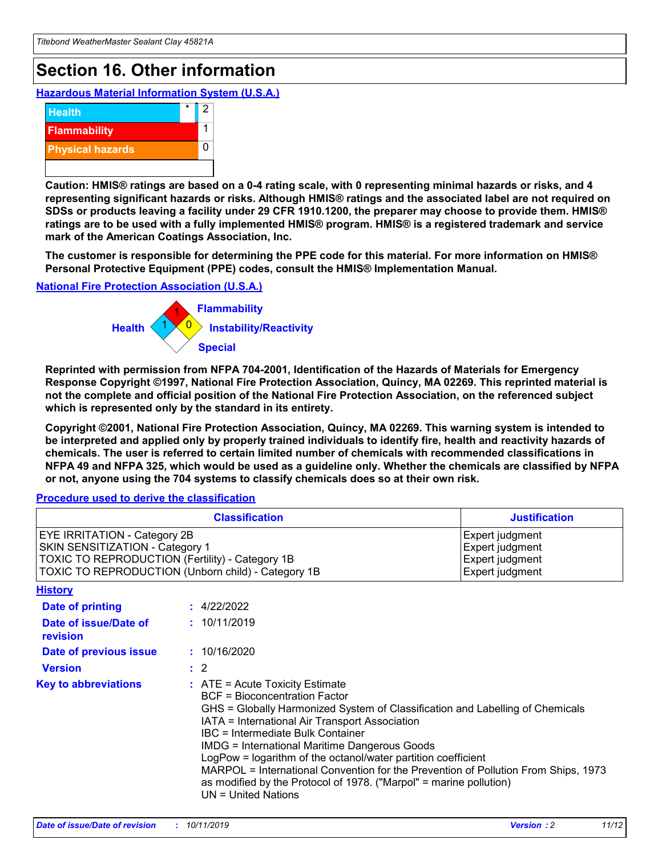## **Section 16. Other information**

**Hazardous Material Information System (U.S.A.)**



**Caution: HMIS® ratings are based on a 0-4 rating scale, with 0 representing minimal hazards or risks, and 4 representing significant hazards or risks. Although HMIS® ratings and the associated label are not required on SDSs or products leaving a facility under 29 CFR 1910.1200, the preparer may choose to provide them. HMIS® ratings are to be used with a fully implemented HMIS® program. HMIS® is a registered trademark and service mark of the American Coatings Association, Inc.**

**The customer is responsible for determining the PPE code for this material. For more information on HMIS® Personal Protective Equipment (PPE) codes, consult the HMIS® Implementation Manual.**

#### **National Fire Protection Association (U.S.A.)**



**Reprinted with permission from NFPA 704-2001, Identification of the Hazards of Materials for Emergency Response Copyright ©1997, National Fire Protection Association, Quincy, MA 02269. This reprinted material is not the complete and official position of the National Fire Protection Association, on the referenced subject which is represented only by the standard in its entirety.**

**Copyright ©2001, National Fire Protection Association, Quincy, MA 02269. This warning system is intended to be interpreted and applied only by properly trained individuals to identify fire, health and reactivity hazards of chemicals. The user is referred to certain limited number of chemicals with recommended classifications in NFPA 49 and NFPA 325, which would be used as a guideline only. Whether the chemicals are classified by NFPA or not, anyone using the 704 systems to classify chemicals does so at their own risk.**

#### **Procedure used to derive the classification**

| <b>Classification</b>                                                                                                                                                    |                                                                                                                                                                                                                                                                                                                                                                                                                                                                                                                                                               | <b>Justification</b>                                                     |
|--------------------------------------------------------------------------------------------------------------------------------------------------------------------------|---------------------------------------------------------------------------------------------------------------------------------------------------------------------------------------------------------------------------------------------------------------------------------------------------------------------------------------------------------------------------------------------------------------------------------------------------------------------------------------------------------------------------------------------------------------|--------------------------------------------------------------------------|
| EYE IRRITATION - Category 2B<br>SKIN SENSITIZATION - Category 1<br>TOXIC TO REPRODUCTION (Fertility) - Category 1B<br>TOXIC TO REPRODUCTION (Unborn child) - Category 1B |                                                                                                                                                                                                                                                                                                                                                                                                                                                                                                                                                               | Expert judgment<br>Expert judgment<br>Expert judgment<br>Expert judgment |
| <b>History</b>                                                                                                                                                           |                                                                                                                                                                                                                                                                                                                                                                                                                                                                                                                                                               |                                                                          |
| Date of printing                                                                                                                                                         | : 4/22/2022                                                                                                                                                                                                                                                                                                                                                                                                                                                                                                                                                   |                                                                          |
| Date of issue/Date of<br>revision                                                                                                                                        | : 10/11/2019                                                                                                                                                                                                                                                                                                                                                                                                                                                                                                                                                  |                                                                          |
| Date of previous issue                                                                                                                                                   | : 10/16/2020                                                                                                                                                                                                                                                                                                                                                                                                                                                                                                                                                  |                                                                          |
| <b>Version</b>                                                                                                                                                           | $\therefore$ 2                                                                                                                                                                                                                                                                                                                                                                                                                                                                                                                                                |                                                                          |
| <b>Key to abbreviations</b>                                                                                                                                              | $:$ ATE = Acute Toxicity Estimate<br><b>BCF</b> = Bioconcentration Factor<br>GHS = Globally Harmonized System of Classification and Labelling of Chemicals<br>IATA = International Air Transport Association<br>IBC = Intermediate Bulk Container<br><b>IMDG = International Maritime Dangerous Goods</b><br>LogPow = logarithm of the octanol/water partition coefficient<br>MARPOL = International Convention for the Prevention of Pollution From Ships, 1973<br>as modified by the Protocol of 1978. ("Marpol" = marine pollution)<br>UN = United Nations |                                                                          |